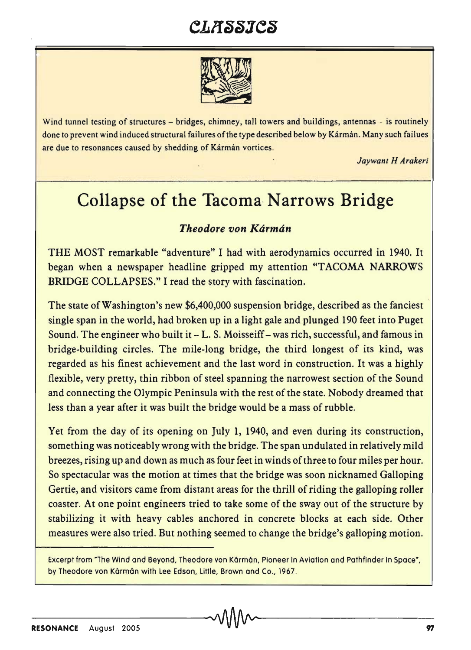

Wind tunnel testing of structures – bridges, chimney, tall towers and buildings, antennas – is routinely done to prevent wind induced structural failures of the type described below by Karman. Many such failues are due to resonances caused by shedding of Kármán vortices.

*Jaywant H Arakeri* 

# Collapse of the Tacoma Narrows Bridge

#### *Theodore 'Von Karman*

THE MOST remarkable "adventure" I had with aerodynamics occurred in 1940. It began when a newspaper headline gripped my attention "TACOMA NARROWS BRIDGE COLLAPSES." I read the story with fascination.

The state of Washington's new \$6,400,000 suspension bridge, described as the fanciest . single span in the world, had broken up in a light gale and plunged 190 feet into Puget Sound. The engineer who built it  $-L$ . S. Moisseiff – was rich, successful, and famous in bridge-building circles. The mile-long bridge, the third longest of its kind, was regarded as his finest achievement and the last word in construction. It was a highly flexible, very pretty, thin ribbon of steel spanning the narrowest section of the Sound and connecting the Olympic Peninsula with the rest of the state. Nobody dreamed that less than a year after it was built the bridge would be a mass of rubble.

Yet from the day of its opening on July 1, 1940, and even during its construction, something was noticeably wrong with the bridge. The span undulated in relatively mild breezes, rising up and down as much as four feet in winds of three to four miles per hour. So spectacular was the motion at times that the bridge was soon nicknamed Galloping Gertie, and visitors came from distant areas for the thrill of riding the galloping roller coaster. At one point engineers tried to take some of the sway out of the structure by stabilizing it with heavy cables anchored in concrete blocks at each side. Other measures were also tried. But nothing seemed to change the bridge's galloping motion.

Excerpt from "The Wind and Beyond, Theodore von Kármán, Pioneer in Aviation and Pathfinder in Space", by Theodore von Kármán with Lee Edson, Little, Brown and Co., 1967.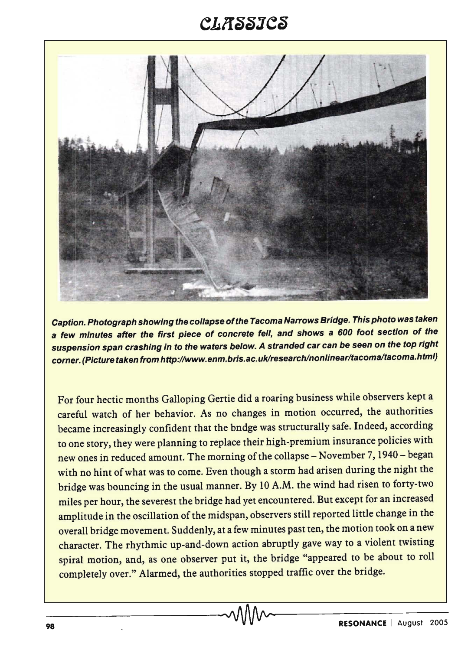

Caption. Photograph showing the collapse of the Tacoma Narrows Bridge. This photo was taken a few minutes after the first piece of concrete fell, and shows a 600 foot section of the suspension span crashing in to the waters below. A stranded car can be seen on the top right corner. (Picture taken from http://www.enm.bris.ac.uk/research/nonlinear/tacoma/tacoma.html)

For four hectic months Galloping Gertie did a roaring business while observers kept a careful watch of her behavior. As no changes in motion occurred, the authorities became increasingly confident that the bndge was structurally safe. Indeed, according to one story, they were planning to replace their high-premium insurance policies with new ones in reduced amount. The morning of the collapse - November 7, 1940 - began with no hint of what was to come. Even though a storm had arisen during the night the bridge was bouncing in the usual manner. By 10 A.M. the wind had risen to forty-two miles per hour, the severest the bridge had yet encountered. But except for an increased amplitude in the oscillation of the midspan, observers still reported little change in the overall bridge movement. Suddenly, at a few minutes past ten, the motion took on a new character. The rhythmic up-and-down action abruptly gave way to a violent twisting spiral motion, and, as one observer put it, the bridge "appeared to be about to roll completely over." Alarmed, the authorities stopped traffic over the bridge.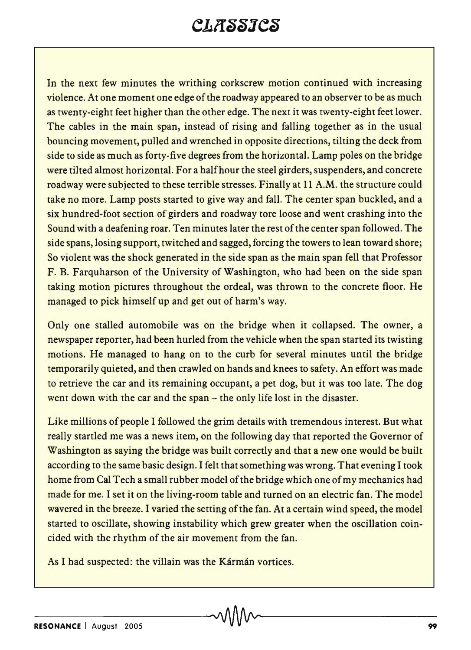In the next few minutes the writhing corkscrew motion continued with increasing violence. At one moment one edge of the roadway appeared to an observer to be as much as twenty-eight feet higher than the other edge. The next it was twenty-eight feet lower. The cables in the main span, instead of rising and falling together as in the usual bouncing movement, pulled and wrenched in opposite directions, tilting the deck from side to side as much as forty-five degrees from the horizontal. Lamp poles on the bridge were tilted almost horizontal. For a half hour the steel girders, suspenders, and concrete roadway were subjected to these terrible stresses. Finally at 11 A.M. the structure could take no more. Lamp posts started to give way and fall. The center span buckled, and a six hundred-foot section of girders and roadway tore loose and went crashing into the Sound with a deafening roar. Ten minutes later the rest of the center span followed. The side spans, losing support, twitched and sagged, forcing the towers to lean toward shore; So violent was the shock generated in the side span as the main span fell that Professor F. B. Farquharson of the University of Washington, who had been on the side span taking motion pictures throughout the ordeal, was thrown to the concrete floor. He managed to pick himself up and get out of harm's way.

Only one stalled automobile was on the bridge when it collapsed. The owner, a newspaper reporter, had been hurled from the vehicle when the span started its twisting motions. He managed to hang on to the curb for several minutes until the bridge temporarily quieted, and then crawled on hands and knees to safety. An effort was made to retrieve the car and its remaining occupant, a pet dog, but it was too late. The dog went down with the car and the span – the only life lost in the disaster.

Like millions of people I followed the grim details with tremendous interest. But what really startled me was a news item, on the following day that reported the Governor of Washington as saying the bridge was built correctly and that a new one would be built according to the same basic design. I felt that something was wrong. That evening I took home from Cal Tech a small rubber model of the bridge which one of my mechanics had made for me. I set it on the living-room table and turned on an electric fan. The model wavered in the breeze. I varied the setting of the fan. At a certain wind speed, the model started to oscillate, showing instability which grew greater when the oscillation coincided with the rhythm of the air movement from the fan.

As I had suspected: the villain was the Kármán vortices.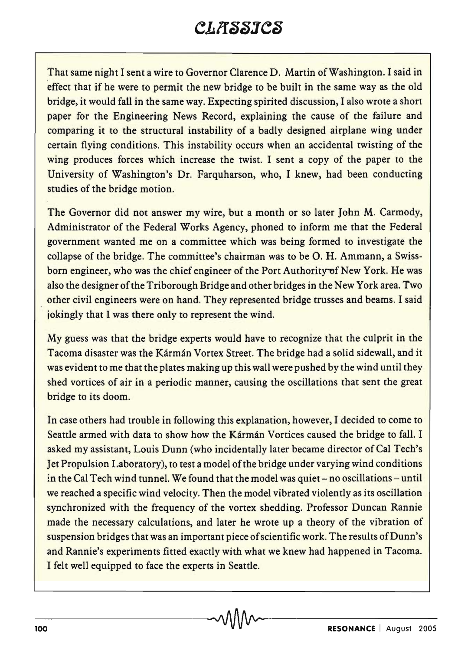That same night I sent a wire to Governor Clarence D. Martin of Washington. I said in effect that if he were to permit the new bridge to be built in the same way as the old bridge, it would fall in the same way. Expecting spirited discussion, I also wrote a short paper for the Engineering News Record, explaining the cause of the failure and comparing it to the structural instability of a badly designed airplane wing under certain flying conditions. This instability occurs when an accidental twisting of the wing produces forces which increase the twist. I sent a copy of the paper to the University of Washington's Dr. Farquharson, who, I knew, had been conducting studies of the bridge motion.

The Governor did not answer my wire, but a month or so later John M. Carmody, Administrator of the Federal Works Agency, phoned to inform me that the Federal government wanted me on a committee which was being formed to investigate the collapse of the bridge. The committee's chairman was to be O. H. Ammann, a Swissborn engineer, who was the chief engineer of the Port Authority of New York. He was also the designer of the Triborough Bridge and other bridges in the New York area. Two other civil engineers were on hand. They represented bridge trusses and beams. I said jokingly that I was there only to represent the wind.

My guess was that the bridge experts would have to recognize that the culprit in the Tacoma disaster was the Karman Vortex Street. The bridge had a solid sidewall, and it was evident to me that the plates making up this wall were pushed by the wind until they shed vortices of air in a periodic manner, causing the oscillations that sent the great bridge to its doom.

In case others had trouble in following this explanation, however, I decided to come to Seattle armed with data to show how the Kármán Vortices caused the bridge to fall. I asked my assistant, Louis Dunn (who incidentally later became director of Cal Tech's Jet Propulsion Laboratory), to test a model of the bridge under varying wind conditions in the Cal Tech wind tunnel. We found that the model was quiet - no oscillations - until we reached a specific wind velocity. Then the model vibrated violently as its oscillation synchronized with the frequency of the vortex shedding. Professor Duncan Rannie made the necessary calculations, and later he wrote up a theory of the vibration of suspension bridges that was an important piece of scientific work. The results of Dunn's and Rannie's experiments fitted exactly with what we knew had happened in Tacoma. I felt well equipped to face the experts in Seattle.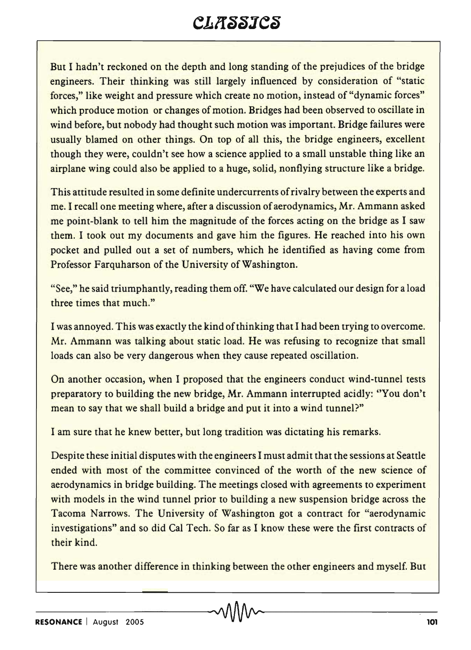But I hadn't reckoned on the depth and long standing of the prejudices of the bridge engineers. Their thinking was still largely influenced by consideration of "static forces," like weight and pressure which create no motion, instead of "dynamic forces" which produce motion or changes of motion. Bridges had been observed to oscillate in wind before, but nobody had thought such motion was important. Bridge failures were usually blamed on other things. On top of all this, the bridge engineers, excellent though they were, couldn't see how a science applied to a small unstable thing like an airplane wing could also be applied to a huge, solid, nonflying structure like a bridge.

This attitude resulted in some definite undercurrents of rivalry between the experts and me. I recall one meeting where, after a discussion of aerodynamics, Mr. Ammann asked me point-blank to tell him the magnitude of the forces acting on the bridge as I saw them. I took out my documents and gave him the figures. He reached into his own pocket and pulled out a set of numbers, which he identified as having come from Professor Farquharson of the University of Washington.

"See," he said triumphantly, reading them off. "We have calculated our design for a load three times that much."

I was annoyed. This was exactly the kind ofthinking that I had been trying to overcome. Mr. Ammann was talking about static load. He was refusing to recognize that small loads can also be very dangerous when they cause repeated oscillation.

On another occasion, when I proposed that the engineers conduct wind-tunnel tests preparatory to building the new bridge, Mr. Ammann interrupted acidly: "You don't mean to say that we shall build a bridge and put it into a wind tunnel?"

I am sure that he knew better, but long tradition was dictating his remarks.

Despite these initial disputes with the engineers I must admit that the sessions at Seattle ended with most of the committee convinced of the worth of the new science of aerodynamics in bridge building. The meetings closed with agreements to experiment with models in the wind tunnel prior to building a new suspension bridge across the Tacoma Narrows. The University of Washington got a contract for "aerodynamic investigations" and so did Cal Tech. So far as I know these were the first contracts of their kind.

There was another difference in thinking between the other engineers and myself. But